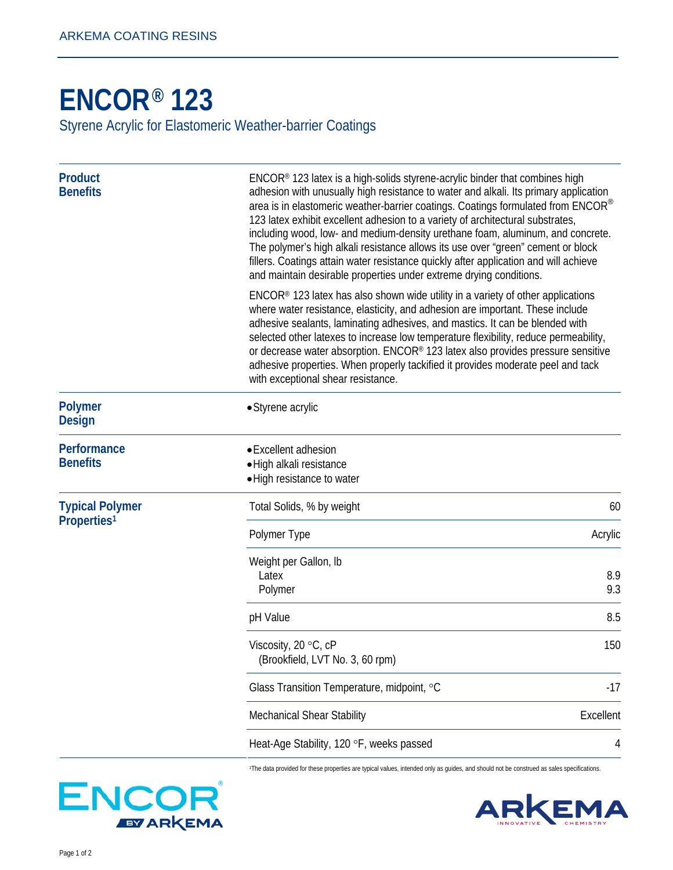## **[ENCOR® 1](http://www.arkemacoatingresins.com/en/index.html)23**

Styrene Acrylic for Elastomeric Weather-barrier Coatings

| <b>Product</b><br><b>Benefits</b>                 | ENCOR® 123 latex is a high-solids styrene-acrylic binder that combines high<br>adhesion with unusually high resistance to water and alkali. Its primary application<br>area is in elastomeric weather-barrier coatings. Coatings formulated from ENCOR®<br>123 latex exhibit excellent adhesion to a variety of architectural substrates,<br>including wood, low- and medium-density urethane foam, aluminum, and concrete.<br>The polymer's high alkali resistance allows its use over "green" cement or block<br>fillers. Coatings attain water resistance quickly after application and will achieve<br>and maintain desirable properties under extreme drying conditions. |            |
|---------------------------------------------------|-------------------------------------------------------------------------------------------------------------------------------------------------------------------------------------------------------------------------------------------------------------------------------------------------------------------------------------------------------------------------------------------------------------------------------------------------------------------------------------------------------------------------------------------------------------------------------------------------------------------------------------------------------------------------------|------------|
|                                                   | ENCOR® 123 latex has also shown wide utility in a variety of other applications<br>where water resistance, elasticity, and adhesion are important. These include<br>adhesive sealants, laminating adhesives, and mastics. It can be blended with<br>selected other latexes to increase low temperature flexibility, reduce permeability,<br>or decrease water absorption. ENCOR® 123 latex also provides pressure sensitive<br>adhesive properties. When properly tackified it provides moderate peel and tack<br>with exceptional shear resistance.                                                                                                                          |            |
| <b>Polymer</b><br><b>Design</b>                   | • Styrene acrylic                                                                                                                                                                                                                                                                                                                                                                                                                                                                                                                                                                                                                                                             |            |
| Performance<br><b>Benefits</b>                    | • Excellent adhesion<br>• High alkali resistance<br>· High resistance to water                                                                                                                                                                                                                                                                                                                                                                                                                                                                                                                                                                                                |            |
| <b>Typical Polymer</b><br>Properties <sup>1</sup> | Total Solids, % by weight                                                                                                                                                                                                                                                                                                                                                                                                                                                                                                                                                                                                                                                     | 60         |
|                                                   | Polymer Type                                                                                                                                                                                                                                                                                                                                                                                                                                                                                                                                                                                                                                                                  | Acrylic    |
|                                                   | Weight per Gallon, Ib<br>Latex<br>Polymer                                                                                                                                                                                                                                                                                                                                                                                                                                                                                                                                                                                                                                     | 8.9<br>9.3 |
|                                                   | pH Value                                                                                                                                                                                                                                                                                                                                                                                                                                                                                                                                                                                                                                                                      | 8.5        |
|                                                   | Viscosity, 20 °C, cP<br>(Brookfield, LVT No. 3, 60 rpm)                                                                                                                                                                                                                                                                                                                                                                                                                                                                                                                                                                                                                       | 150        |
|                                                   | Glass Transition Temperature, midpoint, °C                                                                                                                                                                                                                                                                                                                                                                                                                                                                                                                                                                                                                                    | $-17$      |
|                                                   | Mechanical Shear Stability                                                                                                                                                                                                                                                                                                                                                                                                                                                                                                                                                                                                                                                    | Excellent  |
|                                                   | Heat-Age Stability, 120 °F, weeks passed                                                                                                                                                                                                                                                                                                                                                                                                                                                                                                                                                                                                                                      | 4          |

1The data provided for these properties are typical values, intended only as guides, and should not be construed as sales specifications.